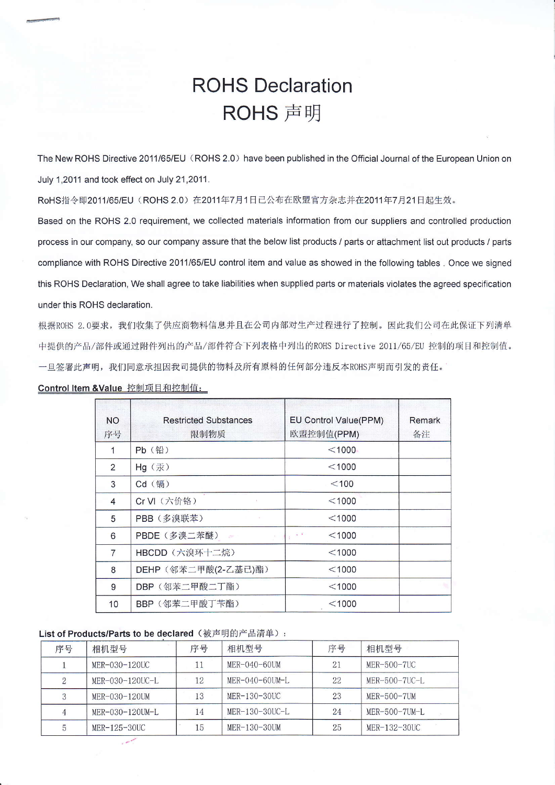## **ROHS Declaration** ROHS 声明

The New ROHS Directive 2011/65/EU (ROHS 2.0) have been published in the Official Journal of the European Union on July 1,2011 and took effect on July 21,2011.

RoHS指令即2011/65/EU (ROHS 2.0) 在2011年7月1日已公布在欧盟官方杂志并在2011年7月21日起生效。

Based on the ROHS 2.0 requirement, we collected materials information from our suppliers and controlled production process in our company, so our company assure that the below list products / parts or attachment list out products / parts compliance with ROHS Directive 2011/65/EU control item and value as showed in the following tables. Once we signed this ROHS Declaration, We shall agree to take liabilities when supplied parts or materials violates the agreed specification under this ROHS declaration.

根据ROHS 2.0要求, 我们收集了供应商物料信息并且在公司内部对生产过程进行了控制。因此我们公司在此保证下列清单 中提供的产品/部件或通过附件列出的产品/部件符合下列表格中列出的ROHS Directive 2011/65/EU 控制的项目和控制值。 一旦签署此声明,我们同意承担因我司提供的物料及所有原料的任何部分违反本ROHS声明而引发的责任。

| <b>NO</b><br>序号          | <b>Restricted Substances</b><br>限制物质 | EU Control Value(PPM)<br>欧盟控制值(PPM) | Remark<br>备注 |
|--------------------------|--------------------------------------|-------------------------------------|--------------|
| 1                        | Pb (铅)                               | $<$ 1000                            |              |
| $\overline{2}$           | Hg (汞)                               | $<$ 1000                            |              |
| 3                        | Cd (镉)                               | $<$ 100                             |              |
| $\overline{\mathcal{L}}$ | Cr VI (六价铬)                          | $<$ 1000                            |              |
| 5                        | PBB (多溴联苯)                           | $<$ 1000                            |              |
| 6                        | PBDE (多溴二苯醚)<br>$\sim 10^{10}$       | $<$ 1000<br>$\mathbf{r}$            |              |
| $\overline{7}$           | HBCDD (六溴环十二烷)                       | $<$ 1000                            |              |
| 8                        | DEHP (邻苯二甲酸(2-乙基己)酯)                 | $<$ 1000                            |              |
| 9                        | DBP (邻苯二甲酸二丁酯)                       | $<$ 1000                            |              |
| 10                       | BBP (邻苯二甲酸丁苄酯)                       | $<$ 1000                            |              |

Control Item & Value 控制项目和控制值:

## List of Products/Parts to be declared (被声明的产品清单):

| 序号             | 相机型号            | 序号      | 相机型号              | 序号 | 相机型号            |
|----------------|-----------------|---------|-------------------|----|-----------------|
|                | MER-030-120UC   | $_{11}$ | MER-040-60UM      | 21 | MER-500-7UC     |
| $\overline{2}$ | MER-030-120UC-L | 12      | $MER-040-60$ UM-L | 22 | $MER-500-7UC-L$ |
|                | MER-030-120UM   | 13      | MER-130-30UC      | 23 | $MER-500-7UM$   |
|                | MER-030-120UM-L | 14      | $MER-130-30UC-L$  | 24 | $MER-500-7UM-L$ |
| 5              | MER-125-30UC    | 15      | MER-130-30UM      | 25 | MER-132-30UC    |